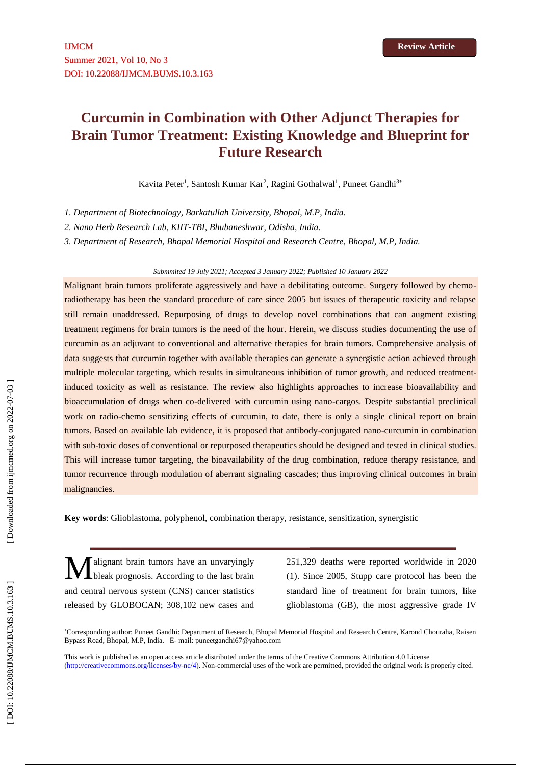# **Curcumin in Combination with Other Adjunct Therapies for Brain Tumor Treatment: Existing Knowledge and Blueprint for Future Research**

Kavita Peter<sup>1</sup>, Santosh Kumar Kar<sup>2</sup>, Ragini Gothalwal<sup>1</sup>, Puneet Gandhi<sup>3\*</sup>

*1. Department of Biotechnology, Barkatullah University, Bhopal, M.P, India.*

*2. Nano Herb Research Lab, KIIT-TBI, Bhubaneshwar, Odisha, India.*

*3. Department of Research, Bhopal Memorial Hospital and Research Centre, Bhopal, M.P, India.*

#### *Submmited 19 July 2021; Accepted 3 January 202 2; Published 1 0 January 202 2*

Malignant brain tumors proliferate aggressively and have a debilitating outcome. Surgery followed by chemo radiotherapy has been the standard procedure of care since 2005 but issues of therapeutic toxicity and relapse still remain unaddressed. Repurposing of drugs to develop novel combinations that can augment existing treatment regimens for brain tumors is the need of the hour. Herein, we discuss studies documenting the use of curcumin as an adjuvant to conventional and alternative therapies for brain tumors. Comprehensive analysis of data suggests that curcumin together with available therapies can generate a synergistic action achieved through multiple molecular targeting, which results in simultaneous inhibition of tumor growth, and reduced treatment induced toxicity as well as resistance. The review also highlights approaches to increase bioavailability and bioaccumulation of drugs when co-delivered with curcumin using nano-cargos. Despite substantial preclinical work on radio -chemo sensitizing effects of curcumin, to date, there is only a single clinical report on brain tumors. Based on available lab evidence, it is proposed that antibody-conjugated nano-curcumin in combination with sub-toxic doses of conventional or repurposed therapeutics should be designed and tested in clinical studies. This will increase tumor targeting, the bioavailability of the drug combination, reduce therapy resistance, and tumor recurrence through modulation of aberrant signaling cascades; thus improving clinical outcomes in brain malignancies.

**Key words** : Glioblastoma, polyphenol, combination therapy, resistance, sensitization, synergistic

alignant brain tumors have an unvaryingly bleak prognosis. According to the last brain and central nervous system (CNS) cancer statistics released by GLOBOCAN; 308,102 new cases and M

251,329 deaths were reported worldwide in 2020 (1). Since 2005, Stupp care protocol has been the standard line of treatment for brain tumors, like glioblastoma (GB), the most aggressive grade IV

1

This work is published as an open access article distributed under the terms of the Creative Commons Attribution 4.0 License [\(http://creativecommons.org/licenses/by-nc/4\)](http://creativecommons.org/licenses/by-nc/4). Non-commercial uses of the work are permitted, provided the original work is properly cited.

Corresponding author: Puneet Gandhi: Department of Research, Bhopal Memorial Hospital and Research Centre, Karond Chouraha, Raisen Bypass Road, Bhopal, M.P, India. E - mail[: puneetgandhi67@yahoo.com](mailto:puneetgandhi67@yahoo.com)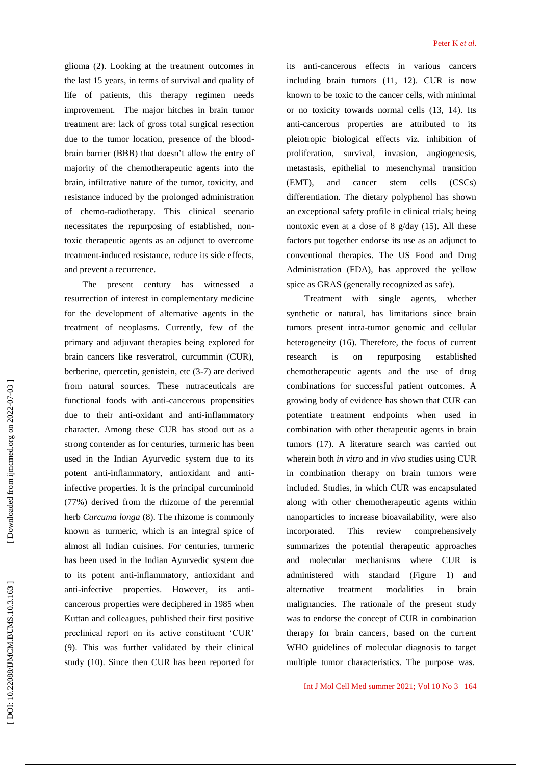glioma (2). Looking at the treatment outcomes in the last 15 years , in terms of survival and quality of life of patients, this therapy regimen needs improvement. The major hitches in brain tumor treatment are: lack of gross total surgical resection due to the tumor location, presence of the blood brain barrier (BBB) that doesn't allow the entry of majority of the chemotherapeutic agents into the brain , infiltrative nature of the tumor, toxicity, and resistance induced by the prolonged administration of chemo -radiotherapy. This clinical scenario necessitates the repurposing of established, non toxic therapeutic agents as an adjunct to overcome treatment -induced resistance, reduce its side effects, and prevent a recurrence.

The present century has witnessed a resurrection of interest in complementary medicine for the development of alternative agents in the treatment of neoplasms. Currently, few of the primary and adjuvant therapies being explored for brain cancers like resveratrol, curcummin (CUR), berberine, quercetin, genistein, etc (3 -7) are derived from natural sources. These nutraceuticals are functional foods with anti -cancerous propensities due to their anti -oxidant and anti -inflammatory character. Among these CUR has stood out as a strong contender as for centuries, turmeric has been used in the Indian Ayurvedic system due to its potent anti -inflammatory, antioxidant and anti infective properties. It is the principal curcuminoid (77%) derived from the rhizome of the perennial herb *Curcuma longa* (8). The rhizome is commonly known as turmeric, which is an integral spice of almost all Indian cuisines. For centuries, turmeric has been used in the Indian Ayurvedic system due to its potent anti -inflammatory, antioxidant and anti -infective properties. However, its anti cancerous properties were deciphered in 1985 when Kuttan and colleagues, published their first positive preclinical report on its active constituent 'CUR' (9). This was further validated by their clinical study (10). Since then CUR has been reported for

its anti -cancerous effects in various cancers including brain tumors (11, 12). CUR is now known to be toxic to the cancer cells, with minimal or no toxicity towards normal cells (13, 14). Its anti -cancerous properties are attributed to its pleiotropic biological effects viz. inhibition of proliferation, survival, invasion, angiogenesis, metastasis, epithelial to mesenchymal transition (EMT), and cancer stem cells (CSCs) differentiation. The dietary polyphenol has shown an exceptional safety profile in clinical trials; being nontoxic even at a dose of 8 g/day (15). All these factors put together endorse its use as an adjunct to conventional therapies. The US Food and Drug Administration (FDA), has approved the yellow spice as GRAS (generally recognized as safe).

Treatment with single agents, whether synthetic or natural, has limitations since brain tumors present intra -tumor genomic and cellular heterogeneity (16). Therefore, the focus of current research is on repurposing established chemotherapeutic agents and the use of drug combinations for successful patient outcomes. A growing body of evidence has shown that CUR can potentiate treatment endpoints when used in combination with other therapeutic agents in brain tumors (17). A literature search was carried out wherein both *in vitro* and *in vivo* studies using CUR in combination therapy on brain tumors were included. Studies, in which CUR was encapsulated along with other chemotherapeutic agents within nanoparticles to increase bioavailability, were also incorporated. This review comprehensively summarizes the potential therapeutic approaches and molecular mechanisms where CUR is administered with standard (Figure 1) and alternative treatment modalities in brain malignancies. The rationale of the present study was to endorse the concept of CUR in combination therapy for brain cancers, based on the current WHO guidelines of molecular diagnosis to target multiple tumor characteristics. The purpose was.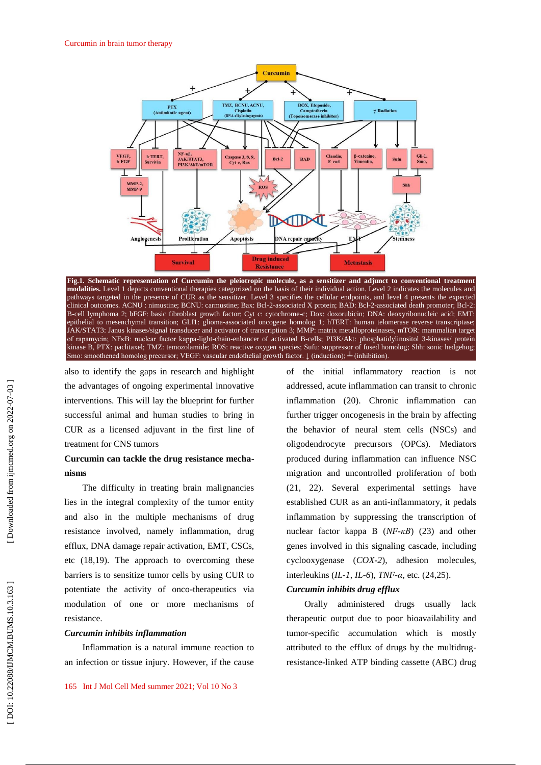

**Fig.1. Schematic representation of Curcumin the pleiotropic molecule, as a sensitizer and adjunct to conventional treatment modalities.** Level 1 depicts conventional therapies categorized on the basis of their individual action. Level 2 indicates the molecules and pathways targeted in the presence of CUR as the sensitizer. Level 3 specifies the cellular endpoints, and level 4 presents the expected clinical outcomes. ACNU : nimustine; BCNU: carmustine; Bax: Bcl-2-associated X protein; BAD: Bcl-2-associated death promoter; Bcl-2: B -cell lymphoma 2; bFGF: basic fibroblast growth factor; Cyt c: cytochrome -c; Dox: doxorubicin; DNA: deoxyribonucleic acid; EMT: epithelial to mesenchymal transition; GLI1: glioma -associated oncogene homolog 1; hTERT: human telomerase reverse transcriptase; JAK/STAT3: Janus kinases/signal transducer and activator of transcription 3; MMP: matrix metalloproteinases, mTOR: mammalian target of rapamycin; NFKB: nuclear factor kappa-light-chain-enhancer of activated B-cells; PI3K/Akt: phosphatidylinositol 3-kinases/ protein kinase B, PTX: paclitaxel; TMZ: temozolamide; ROS: reactive oxygen species; Sufu: suppressor of fused homolog; Shh: sonic hedgehog; Smo: smoothened homolog precursor; VEGF: vascular endothelial growth factor. ↓ (induction);  $\perp$  (inhibition).

also to identify the gaps in research and highlight the advantages of ongoing experimental innovative interventions. This will lay the blueprint for further successful animal and human studies to bring in CUR as a licensed adjuvant in the first line of treatment for CNS tumors

# **Curcumin can tackle the drug resistance mecha nisms**

The difficulty in treating brain malignancies lies in the integral complexity of the tumor entity and also in the multiple mechanisms of drug resistance involved, namely inflammation, drug efflux, DNA damage repair activation, EMT, CSCs, etc (18,19). The approach to overcoming these barrier s is to sensitize tumor cells by using CUR to potentiate the activity of onco -therapeutics via modulation of one or more mechanisms of resistance.

### *Curcumin inhibits inflammation*

Inflammation is a natural immune reaction to an infection or tissue injury. However, if the cause of the initial inflammatory reaction is not addressed, acute inflammation can transit to chronic inflammation (20). Chronic inflammation can further trigger oncogenesis in the brain by affecting the behavior of neural stem cells (NSCs) and oligodendrocyte precursors (OPCs). Mediators produced during inflammation can influence NSC migration and uncontrolled proliferation of both (21, 22). Several experimental settings have established CUR as an anti -inflammatory, it pedals inflammation by suppressing the transcription of nuclear factor kappa B (*NF -κB*) (23) and other genes involved in this signaling cascade, including cyclooxygenase (*COX - 2*), adhesion molecules, interleukins (*IL - 1*, *IL - 6*), *TNF - α*, etc. (24,25).

#### *Curcumin inhibits drug efflux*

Orally administered drugs usually lack therapeutic output due to poor bioavailability and tumor -specific accumulation which is mostly attributed to the efflux of drugs by the multidrug resistance -linked ATP binding cassette (ABC) drug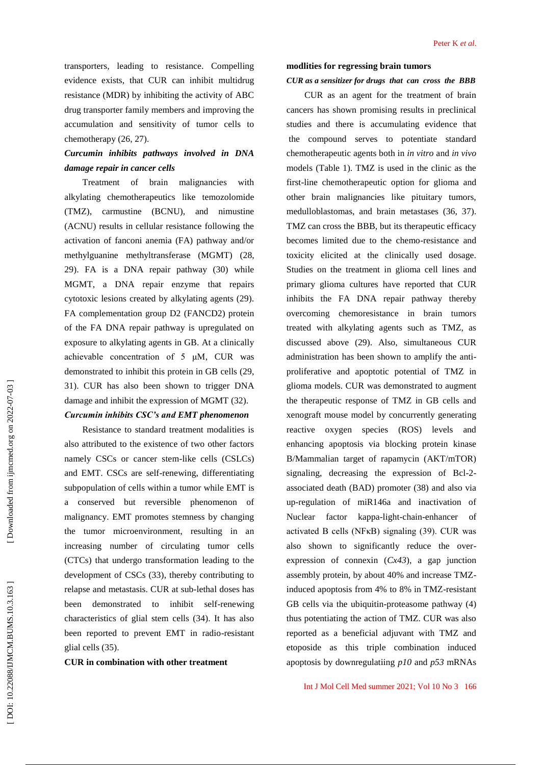transporters, leading to resistance. Compelling evidence exists, that CUR can inhibit multidrug resistance (MDR) by inhibiting the activity of ABC drug transporter family members and improving the accumulation and sensitivity of tumor cells to chemotherapy (26, 27).

# *Curcumin inhibits pathways involved in DNA damage repair in cancer cells*

Treatment of brain malignancies with alkylating chemotherapeutics like temozolomide (TMZ), carmustine (BCNU), and nimustine (ACNU) results in cellular resistance following the activation of fanconi anemia (FA) pathway and/or methylguanine methyltransferase (MGMT) (28, 29). FA is a DNA repair pathway (30) while MGMT, a DNA repair enzyme that repairs cytotoxic lesions created by alkylating agents (29). FA complementation group D2 (FANCD2) protein of the FA DNA repair pathway is upregulated on exposure to alkylating agents in GB. At a clinically achievable concentration of  $5 \mu M$ , CUR was demonstrated to inhibit this protein in GB cells (29, 31). CUR has also been shown to trigger DNA damage and inhibit the expression of MGMT (32).

### *Curcumin inhibits CSC's and EMT phenomenon*

Resistance to standard treatment modalities is also attributed to the existence of two other factors namely CSCs or cancer stem -like cells (CSLCs) and EMT. CSCs are self -renewing, differentiating subpopulation of cells within a tumor while EMT is a conserved but reversible phenomenon of malignancy. EMT promotes stemness by changing the tumor microenvironment, resulting in an increasing number of circulating tumor cells (CTCs) that undergo transformation leading to the development of CSCs (33), thereby contributing to relapse and metastasis. CUR at sub -lethal doses has been demonstrated to inhibit self-renewing characteristics of glial stem cells (34). It has also been reported to prevent EMT in radio -resistant glial cells (35).

#### **CUR in combination with other treatment**

#### *CUR as a sensitizer for drugs that can cross the BBB*

CUR as an agent for the treatment of brain cancers has shown promising results in preclinical studies and there is accumulating evidence that the compound serves to potentiate standard chemotherapeutic agents both in *in vitro* and *in vivo* models (Table 1). TMZ is used in the clinic as the first -line chemotherapeutic option for glioma and other brain malignancies like pituitary tumors, medulloblastomas, and brain metastases (36, 37). TMZ can cross the BBB, but its therapeutic efficacy becomes limited due to the chemo -resistance and toxicity elicited at the clinically used dosage. Studies on the treatment in glioma cell lines and primary glioma cultures have reported that CUR inhibits the FA DNA repair pathway thereby overcoming chemoresistance in brain tumors treated with alkylating agents such as TMZ, as discussed above (29). Also, simultaneous CUR administration has been shown to amplify the anti proliferative and apoptotic potential of TMZ in glioma models. CUR was demonstrated to augment the therapeutic response of TMZ in GB cells and xenograft mouse model by concurrently generating reactive oxygen species (ROS) levels and enhancing apoptosis via blocking protein kinase B/Mammalian target of rapamycin (AKT/mTOR) signaling, decreasing the expression of Bcl-2associated death (BAD) promoter (38) and also via up -regulation of miR146a and inactivation of Nuclear factor -light -chain -enhancer of activated B cells (NFκB) signaling (39). CUR was also shown to significantly reduce the over expression of connexin (*Cx43*), a gap junction assembly protein, by about 40% and increase TMZ induced apoptosis from 4% to 8% in TMZ -resistant GB cells via the ubiquitin -proteasome pathway (4) thus potentiating the action of TMZ. CUR was also reported as a beneficial adjuvant with TMZ and etoposide as this triple combination induced apoptosis by downregulatiing *p10* and *p53* mRNAs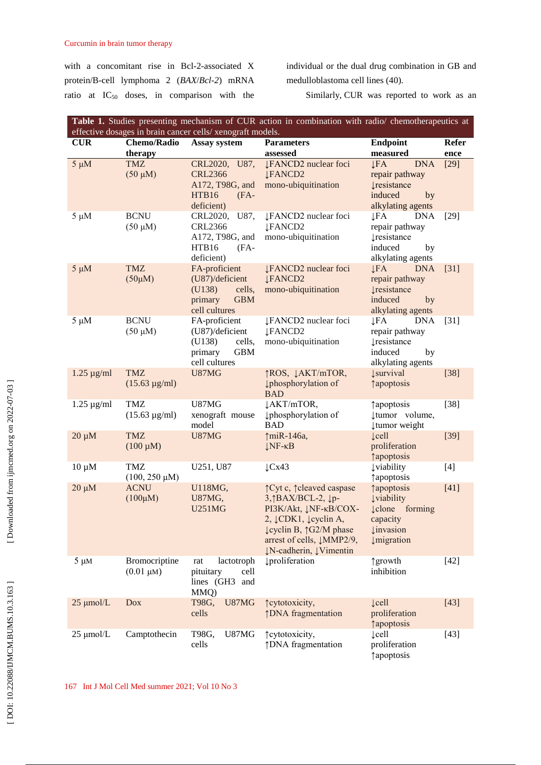with a concomitant rise in Bcl - 2 -associated X protein/B -cell lymphoma 2 (*BAX*/*Bcl - 2*) mRNA ratio at IC<sub>50</sub> doses, in comparison with the

individual or the dual drug combination in GB and medulloblastoma cell lines (40).

Similarly, CUR was reported to work as an

| <b>Table 1.</b> Studies presenting mechanism of CUR action in combination with radio/ chemotherapeutics at<br>effective dosages in brain cancer cells/ xenograft models. |                                    |                             |                                              |                                                    |              |  |  |
|--------------------------------------------------------------------------------------------------------------------------------------------------------------------------|------------------------------------|-----------------------------|----------------------------------------------|----------------------------------------------------|--------------|--|--|
| <b>CUR</b>                                                                                                                                                               | <b>Chemo/Radio</b><br>Assay system |                             | <b>Parameters</b>                            | <b>Endpoint</b>                                    | <b>Refer</b> |  |  |
|                                                                                                                                                                          | therapy                            |                             | assessed                                     | measured                                           | ence         |  |  |
| $5 \mu M$                                                                                                                                                                | <b>TMZ</b>                         | CRL2020,<br>U87,            | <b>↓FANCD2</b> nuclear foci                  | <b>DNA</b><br><b>JFA</b>                           | $[29]$       |  |  |
|                                                                                                                                                                          | $(50 \mu M)$                       | <b>CRL2366</b>              | <b>LFANCD2</b>                               | repair pathway                                     |              |  |  |
|                                                                                                                                                                          |                                    | A172, T98G, and             | mono-ubiquitination                          | <b>Iresistance</b>                                 |              |  |  |
|                                                                                                                                                                          |                                    | HTB16<br>$(FA -$            |                                              | induced<br>by                                      |              |  |  |
|                                                                                                                                                                          |                                    | deficient)                  |                                              | alkylating agents                                  |              |  |  |
| $5 \mu M$                                                                                                                                                                | <b>BCNU</b>                        | CRL2020,<br>U87,            | ↓FANCD2 nuclear foci                         | $\downarrow$ FA<br><b>DNA</b>                      | $[29]$       |  |  |
|                                                                                                                                                                          | $(50 \mu M)$                       | <b>CRL2366</b>              | <b>JFANCD2</b>                               | repair pathway                                     |              |  |  |
|                                                                                                                                                                          |                                    | A172, T98G, and             | mono-ubiquitination                          | <b><i><u>xesistance</u></i></b>                    |              |  |  |
|                                                                                                                                                                          |                                    | HTB16<br>$(FA -$            |                                              | induced<br>by                                      |              |  |  |
| $5 \mu M$                                                                                                                                                                | <b>TMZ</b>                         | deficient)<br>FA-proficient | ↓FANCD2 nuclear foci                         | alkylating agents<br>$\downarrow$ FA<br><b>DNA</b> | $[31]$       |  |  |
|                                                                                                                                                                          | $(50\mu M)$                        | (U87)/deficient             | <b>JFANCD2</b>                               | repair pathway                                     |              |  |  |
|                                                                                                                                                                          |                                    | (U138)<br>cells,            | mono-ubiquitination                          | <b>Į</b> resistance                                |              |  |  |
|                                                                                                                                                                          |                                    | <b>GBM</b><br>primary       |                                              | induced<br>by                                      |              |  |  |
|                                                                                                                                                                          |                                    | cell cultures               |                                              | alkylating agents                                  |              |  |  |
| $5 \mu M$                                                                                                                                                                | <b>BCNU</b>                        | FA-proficient               | <b>IFANCD2</b> nuclear foci                  | <b>LFA</b><br><b>DNA</b>                           | $[31]$       |  |  |
|                                                                                                                                                                          | $(50 \mu M)$                       | (U87)/deficient             | <b>JFANCD2</b>                               | repair pathway                                     |              |  |  |
|                                                                                                                                                                          |                                    | (U138)<br>cells,            | mono-ubiquitination                          | <b><i><u>Iresistance</u></i></b>                   |              |  |  |
|                                                                                                                                                                          |                                    | <b>GBM</b><br>primary       |                                              | induced<br>by                                      |              |  |  |
|                                                                                                                                                                          |                                    | cell cultures               |                                              | alkylating agents                                  |              |  |  |
| $1.25 \mu g/ml$                                                                                                                                                          | <b>TMZ</b>                         | U87MG                       | ↑ROS, ↓AKT/mTOR,                             | <b>L</b> survival                                  | $[38]$       |  |  |
|                                                                                                                                                                          | $(15.63 \text{ µg/ml})$            |                             | <b>µphosphorylation</b> of                   | <i><u><b>†apoptosis</b></u></i>                    |              |  |  |
|                                                                                                                                                                          |                                    |                             | <b>BAD</b>                                   |                                                    |              |  |  |
| $1.25 \mu g/ml$                                                                                                                                                          | TMZ                                | <b>U87MG</b>                | JAKT/mTOR,                                   | ↑ apoptosis                                        | $[38]$       |  |  |
|                                                                                                                                                                          | $(15.63 \text{ µg/ml})$            | xenograft mouse             | phosphorylation of                           | tumor volume,                                      |              |  |  |
| $20 \mu M$                                                                                                                                                               | <b>TMZ</b>                         | model<br>U87MG              | <b>BAD</b><br>↑miR-146a,                     | tumor weight<br>$\mathcal{L}$ ell                  | $[39]$       |  |  |
|                                                                                                                                                                          | $(100 \mu M)$                      |                             | $\downarrow$ NF- $\kappa$ B                  | proliferation                                      |              |  |  |
|                                                                                                                                                                          |                                    |                             |                                              | <i><u><b>†apoptosis</b></u></i>                    |              |  |  |
| $10 \mu M$                                                                                                                                                               | TMZ                                | U251, U87                   | $\downarrow$ Cx43                            | <b>Uviability</b>                                  | $[4]$        |  |  |
|                                                                                                                                                                          | $(100, 250 \mu M)$                 |                             |                                              | <b>Tapoptosis</b>                                  |              |  |  |
| $20 \mu M$                                                                                                                                                               | <b>ACNU</b>                        | U118MG,                     | ↑ Cyt c, ↑ cleaved caspase                   | <i><u><b>†apoptosis</b></u></i>                    | $[41]$       |  |  |
|                                                                                                                                                                          | $(100\mu M)$                       | <b>U87MG,</b>               | 3, BAX/BCL-2, ↓p-                            | <b>Uviability</b>                                  |              |  |  |
|                                                                                                                                                                          |                                    | <b>U251MG</b>               | PI3K/Akt, JNF-KB/COX-                        | <b>Lelone</b> forming                              |              |  |  |
|                                                                                                                                                                          |                                    |                             | $2, \downarrow$ CDK1, $\downarrow$ cyclin A, | capacity                                           |              |  |  |
|                                                                                                                                                                          |                                    |                             | ↓cyclin B, ↑G2/M phase                       | <b><i><u>u</u></i></b> invasion                    |              |  |  |
|                                                                                                                                                                          |                                    |                             | arrest of cells, JMMP2/9,                    | <i>umigration</i>                                  |              |  |  |
|                                                                                                                                                                          |                                    |                             | ↓N-cadherin, ↓Vimentin                       |                                                    |              |  |  |
| $5 \mu M$                                                                                                                                                                | Bromocriptine                      | lactotroph<br>rat           | <b>I</b> proliferation                       | ↑growth                                            | $[42]$       |  |  |
|                                                                                                                                                                          | $(0.01 \mu M)$                     | pituitary<br>cell           |                                              | inhibition                                         |              |  |  |
|                                                                                                                                                                          |                                    | lines (GH3 and              |                                              |                                                    |              |  |  |
| $25 \mu$ mol/L                                                                                                                                                           | <b>Dox</b>                         | MMQ)<br>T98G,<br>U87MG      | <i><u><b>†cytotoxicity</b></u></i> ,         | $\mathcal{L}$ ell                                  | $[43]$       |  |  |
|                                                                                                                                                                          |                                    | cells                       | ↑DNA fragmentation                           | proliferation                                      |              |  |  |
|                                                                                                                                                                          |                                    |                             |                                              | <i><u><b>Tapoptosis</b></u></i>                    |              |  |  |
| $25 \mu$ mol/L                                                                                                                                                           | Camptothecin                       | T98G,<br>U87MG              | <i>f</i> cytotoxicity,                       | $\downarrow$ cell                                  | $[43]$       |  |  |
|                                                                                                                                                                          |                                    | cells                       | ↑DNA fragmentation                           | proliferation                                      |              |  |  |
|                                                                                                                                                                          |                                    |                             |                                              | <i><u><b>†apoptosis</b></u></i>                    |              |  |  |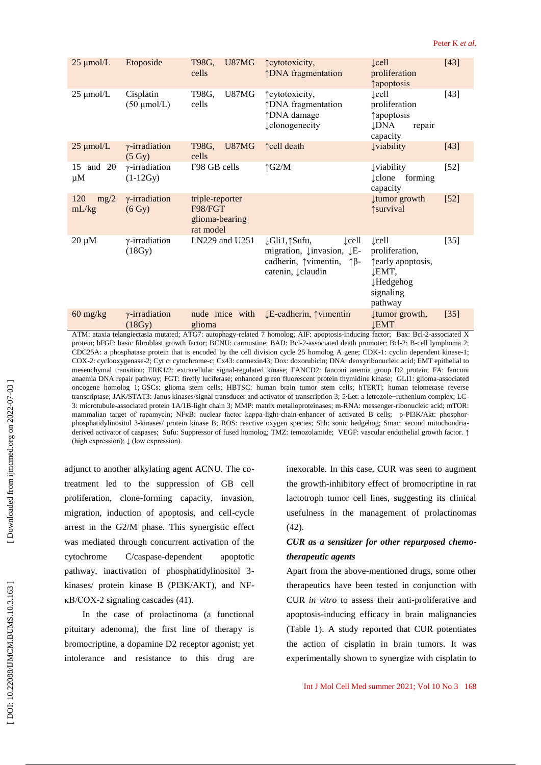| $25 \mu$ mol/L       | Etoposide                                 | <b>U87MG</b><br>T98G,<br>cells                            | <i><u><b>†cytotoxicity</b></u></i> ,<br><b>DNA</b> fragmentation                                                                                                           | $\mathcal{L}$ ell<br>proliferation<br><i><u><b>Tapoptosis</b></u></i>                                   | $[43]$ |
|----------------------|-------------------------------------------|-----------------------------------------------------------|----------------------------------------------------------------------------------------------------------------------------------------------------------------------------|---------------------------------------------------------------------------------------------------------|--------|
| $25 \mu$ mol/L       | Cisplatin<br>$(50 \mu \text{mol/L})$      | U87MG<br>T98G,<br>cells                                   | ↑ cytotoxicity,<br>↑DNA fragmentation<br>↑DNA damage<br><b>L</b> elonogenecity                                                                                             | $\mathcal{L}$ ell<br>proliferation<br>↑ apoptosis<br>↓DNA<br>repair<br>capacity                         | $[43]$ |
| $25 \mu$ mol/L       | $\gamma$ -irradiation<br>$(5 \text{ Gy})$ | U87MG<br>T98G,<br>cells                                   | ↑cell death                                                                                                                                                                | <b>Uviability</b>                                                                                       | $[43]$ |
| 15 and 20<br>$\mu$ M | $\gamma$ -irradiation<br>$(1-12Gy)$       | F98 GB cells                                              | $\uparrow$ G2/M                                                                                                                                                            | <b>Uviability</b><br><b>clone</b> forming<br>capacity                                                   | $[52]$ |
| 120<br>mg/2<br>mL/kg | $\gamma$ -irradiation<br>(6 Gy)           | triple-reporter<br>F98/FGT<br>glioma-bearing<br>rat model |                                                                                                                                                                            | tumor growth<br>survival                                                                                | $[52]$ |
| $20 \mu M$           | $\gamma$ -irradiation<br>(18Gy)           | LN229 and U251                                            | ↓Gli1,↑Sufu,<br>$\mathsf{Lcell}$<br>migration, $\downarrow$ invasion, $\downarrow$ E-<br>cadherin, $\uparrow$ vimentin, $\uparrow$ $\upbeta$ -<br>catenin, <i>Lelaudin</i> | $\mathcal{L}$ cell<br>proliferation,<br>fearly apoptosis,<br>↓EMT,<br>↓Hedgehog<br>signaling<br>pathway | $[35]$ |
| $60$ mg/kg           | $\gamma$ -irradiation<br>(18Gy)           | nude mice with<br>glioma                                  | ↓E-cadherin, ↑vimentin                                                                                                                                                     | tumor growth,<br><b>LEMT</b>                                                                            | $[35]$ |
|                      |                                           |                                                           | ATM: ataxia telangiectasia mutated: ATG7: autophagy-related 7 homolog: AIF: apoptosis-inducing factor: Bax: Bcl-2-associated X                                             |                                                                                                         |        |

ATM: ataxia telangiectasia mutated; ATG7: autophagy -related 7 homolog; AIF: apoptosis -inducing factor; Bax: Bcl - 2 -associated X protein; bFGF: basic fibroblast growth factor; BCNU: carmustine; BAD: Bcl-2-associated death promoter; Bcl-2: B-cell lymphoma 2; CDC25A: a phosphatase protein that is encoded by the cell division cycle 25 homolog A gene; CDK -1: cyclin dependent kinase - 1; COX -2: cyclooxygenase -2; Cyt c: cytochrome -c; Cx43: connexin43; Dox: doxorubicin; DNA: deoxyribonucleic acid; EMT epithelial to mesenchymal transition; ERK1/2: extracellular signal -regulated kinase; FANCD2: fanconi anemia group D2 protein; FA: fanconi anaemia DNA repair pathway; FGT: firefly luciferase; enhanced green fluorescent protein thymidine kinase; GLI1: glioma -associated oncogene homolog 1; GSCs: glioma stem cells; HBTSC: human brain tumor stem cells; hTERT|: human telomerase reverse transcriptase; JAK/STAT3: Janus kinases/signal transducer and activator of transcription 3; 5 Let: a letroz 3: microtubule-associated protein 1A/1B-light chain 3; MMP: matrix metalloproteinases; m-RNA: messenger-ribonucleic acid; mTOR: mammalian target of rapamycin; NFKB: nuclear factor kappa-light-chain-enhancer of activated B cells; p-PI3K/Akt: phosphorphosphatidylinositol 3-kinases/ protein kinase B; ROS: reactive oxygen species; Shh: sonic hedgehog; Smac: second mitochondriaderived activator of caspases; Sufu: Suppressor of fused homolog; TMZ: temozolamide; VEGF: vascular endothelial growth factor. ↑ (high expression);  $\downarrow$  (low expression).

adjunct to another alkylating agent ACNU. The co treatment led to the suppression of GB cell proliferation, clone -forming capacity, invasion, migration, induction of apoptosis, and cell -cycle arrest in the G2/M phase. This synergistic effect was mediated through concurrent activation of the cytochrome C/caspase-dependent apoptotic pathway, inactivation of phosphatidylinositol 3 kinases/ protein kinase B (PI3K/AKT), and NF κB/COX -2 signaling cascades (41).

In the case of prolactinoma (a functional pituitary adenoma), the first line of therapy is bromocriptine, a dopamine D2 receptor agonist; yet intolerance and resistance to this drug are inexorable. In this case, CUR was seen to augment the growth -inhibitory effect of bromocriptine in rat lactotroph tumor cell lines, suggesting its clinical usefulness in the management of prolactinomas (42).

### *CUR as a sensitizer for other repurposed chemo therapeutic agents*

Apart from the above -mentioned drugs, some other therapeutics have been tested in conjunction with CUR *in vitro* to assess their anti -proliferative and apoptosis -inducing efficacy in brain malignancies (Table 1). A study reported that CUR potentiates the action of cisplatin in brain tumors. It was experimentally shown to synergize with cisplatin to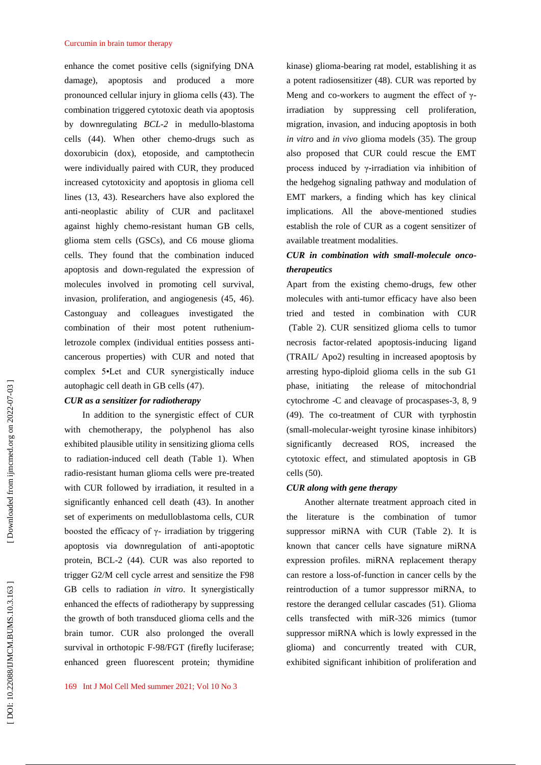#### Curcumin in brain tumor therapy

enhance the comet positive cells (signifying DNA damage), apoptosis and produced a more pronounced cellular injury in glioma cells (43). The combination triggered cytotoxic death via apoptosis by downregulating *BCL - 2* in medullo -blastoma cells (44). When other chemo -drugs such as doxorubicin (dox), etoposide, and camptothecin were individually paired with CUR, they produced increased cytotoxicity and apoptosis in glioma cell lines (13, 43). Researchers have also explored the anti -neoplastic ability of CUR and paclitaxel against highly chemo -resistant human GB cells, glioma stem cells (GSCs), and C6 mouse glioma cells. They found that the combination induced apoptosis and down -regulated the expression of molecules involved in promoting cell survival, invasion, proliferation, and angiogenesis (45, 46). Castonguay and colleagues investigated the combination of their most potent ruthenium letrozole complex (individual entities possess anti cancerous properties) with CUR and noted that complex 5•Let and CUR synergistically induce autophagic cell death in GB cells (47).

### *CUR as a sensitizer for radiotherapy*

In addition to the synergistic effect of CUR with chemotherapy, the polyphenol has also exhibited plausible utility in sensitizing glioma cells to radiation -induced cell death (Table 1). When radio -resistant human glioma cells were pre -treated with CUR followed by irradiation, it resulted in a significantly enhanced cell death (43). In another set of experiments on medulloblastoma cells, CUR boosted the efficacy of  $γ$ - irradiation by triggering apoptosis via downregulation of anti -apoptotic protein, BCL -2 (44). CUR was also reported to trigger G2/M cell cycle arrest and sensitize the F98 GB cells to radiation *in vitro*. It synergistically enhanced the effects of radiotherapy by suppressing the growth of both transduced glioma cells and the brain tumor. CUR also prolonged the overall survival in orthotopic F -98/FGT (firefly luciferase; enhanced green fluorescent protein; thymidine

kinase) glioma -bearing rat model, establishing it as a potent radiosensitizer (48). CUR was reported by Meng and co-workers to augment the effect of  $\gamma$ irradiation by suppressing cell proliferation, migration, invasion, and inducing apoptosis in both *in vitro* and *in vivo* glioma models (35). The group also proposed that CUR could rescue the EMT process induced by γ -irradiation via inhibition of the hedgehog signaling pathway and modulation of EMT markers, a finding which has key clinical implications. All the above-mentioned studies establish the role of CUR as a cogent sensitizer of available treatment modalities.

### *CUR in combination with small -molecule onco therapeutics*

Apart from the existing chemo -drugs, few other molecules with anti -tumor efficacy have also been tried and tested in combination with CUR (Table 2). CUR sensitized glioma cells to tumor necrosis factor -related apoptosis -inducing ligand (TRAIL/ Apo2) resulting in increased apoptosis by arresting hypo -diploid glioma cells in the sub G1 phase, initiating the release of mitochondrial cytochrome -C and cleavage of procaspases -3, 8, 9 (49). The co -treatment of CUR with tyrphostin (small -molecular -weight tyrosine kinase inhibitors) significantly decreased ROS, increased the cytotoxic effect, and stimulated apoptosis in GB cells (50).

#### *CUR along with gene therapy*

Another alternate treatment approach cited in the literature is the combination of tumor suppressor miRNA with CUR (Table 2). It is known that cancer cells have signature miRNA expression profiles. miRNA replacement therapy can restore a loss -of-function in cancer cells by the reintroduction of a tumor suppressor miRNA, to restore the deranged cellular cascades (51). Glioma cells transfected with miR -326 mimics (tumor suppressor miRNA which is lowly expressed in the glioma) and concurrently treated with CUR, exhibited significant inhibition of proliferation and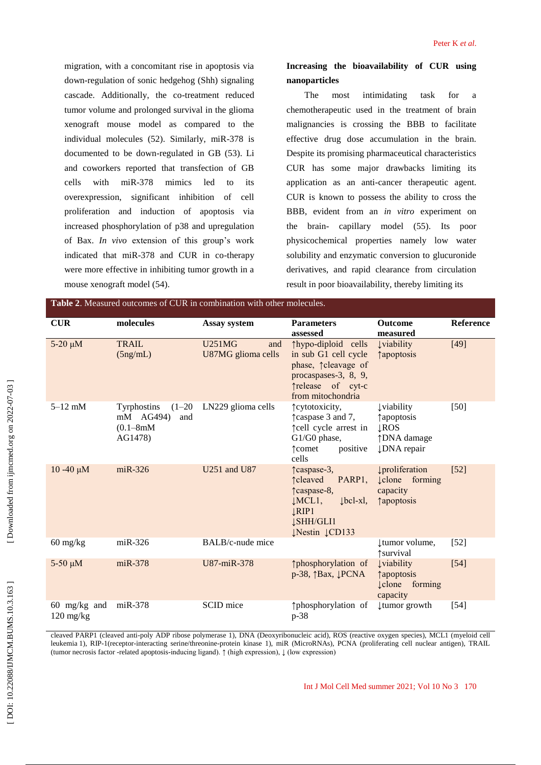migration, with a concomitant rise in apoptosis via down -regulation of sonic hedgehog (Shh) signaling cascade. Additionally, the co -treatment reduced tumor volume and prolonged survival in the glioma xenograft mouse model as compared to the individual molecules (52). Similarly, miR -378 is documented to be down -regulated in GB (53). Li and coworkers reported that transfection of GB cells with  $miR-378$ mimics led to its overexpression, significant inhibition of cell proliferation and induction of apoptosis via increased phosphorylation of p38 and upregulation of Bax. *In vivo* extension of this group's work indicated that miR -378 and CUR in co -therapy were more effective in inhibiting tumor growth in a mouse xenograft model (54).

# **Increasing the bioavailability of CUR using nanoparticles**

The most intimidating task for a chemotherapeutic used in the treatment of brain malignancies is crossing the BBB to facilitate effective drug dose accumulation in the brain. Despite its promising pharmaceutical characteristics CUR has some major drawbacks limiting its application as an anti -cancer therapeutic agent. CUR is known to possess the ability to cross the BBB, evident from an *in vitro* experiment on the brain - capillary model (55). Its poor physicochemical properties namely low water solubility and enzymatic conversion to glucuronide derivatives, and rapid clearance from circulation result in poor bioavailability, thereby limiting its

| <b>Table 2.</b> Measured outcomes of CUR in combination with other molecules. |                                                                         |                                            |                                                                                                                                                                      |                                                                                                |                  |  |  |  |
|-------------------------------------------------------------------------------|-------------------------------------------------------------------------|--------------------------------------------|----------------------------------------------------------------------------------------------------------------------------------------------------------------------|------------------------------------------------------------------------------------------------|------------------|--|--|--|
| <b>CUR</b>                                                                    | molecules                                                               | <b>Assay system</b>                        | <b>Parameters</b><br>assessed                                                                                                                                        | <b>Outcome</b><br>measured                                                                     | <b>Reference</b> |  |  |  |
| $5-20 \mu M$                                                                  | <b>TRAIL</b><br>(5ng/mL)                                                | <b>U251MG</b><br>and<br>U87MG glioma cells | ↑hypo-diploid cells<br>in sub G1 cell cycle<br>phase, 1 cleavage of<br>procaspases-3, 8, 9,<br>Trelease of cyt-c<br>from mitochondria                                | <b>Uviability</b><br><i><u><b>Tapoptosis</b></u></i>                                           | $[49]$           |  |  |  |
| $5-12$ mM                                                                     | Tyrphostins<br>$(1-20)$<br>mM AG494)<br>and<br>$(0.1 - 8mM)$<br>AG1478) | LN229 glioma cells                         | †cytotoxicity,<br>Traspase 3 and 7,<br>îcell cycle arrest in<br>G1/G0 phase,<br>positive<br>↑ comet<br>cells                                                         | <b>Uviability</b><br><i>f</i> apoptosis<br><b>LROS</b><br>↑DNA damage<br>↓DNA repair           | $[50]$           |  |  |  |
| $10 - 40 \mu M$                                                               | $miR-326$                                                               | U251 and U87                               | ↑caspase-3,<br>PARP <sub>1</sub><br><b>t</b> cleaved<br>Teaspase-8,<br>$\lfloor bcl - xl \rfloor$<br>$LMCL1$ ,<br><b>LRIP1</b><br><b>JSHH/GLI1</b><br>JNestin JCD133 | proliferation<br><b>Lelone</b> forming<br>capacity<br><i><u><b>Tapoptosis</b></u></i>          | $[52]$           |  |  |  |
| $60$ mg/kg                                                                    | $miR-326$                                                               | BALB/c-nude mice                           |                                                                                                                                                                      | tumor volume,<br>↑survival                                                                     | $[52]$           |  |  |  |
| $5-50 \mu M$                                                                  | $miR-378$                                                               | U87-miR-378                                | ↑phosphorylation of<br>$p-38$ , $\uparrow$ Bax, $\downarrow$ PCNA                                                                                                    | <b>Uviability</b><br><i><u><b>Tapoptosis</b></u></i><br>$\downarrow$ clone forming<br>capacity | $[54]$           |  |  |  |
| $60$ mg/kg and<br>$120 \text{ mg/kg}$                                         | $miR-378$                                                               | SCID mice                                  | ↑phosphorylation of<br>p-38                                                                                                                                          | tumor growth                                                                                   | $[54]$           |  |  |  |

cleaved PARP1 (cleaved anti -poly ADP ribose polymerase 1), DNA (Deoxyribonucleic acid), ROS (reactive oxygen species), MCL1 (myeloid cell leukemia 1), RIP -1(receptor -interacting serine/threonine -protein kinase 1), miR (MicroRNAs), PCNA (proliferating cell nuclear antigen), TRAIL (tumor necrosis factor -related apoptosis -inducing ligand). ↑ (high expression), ↓ (low expression)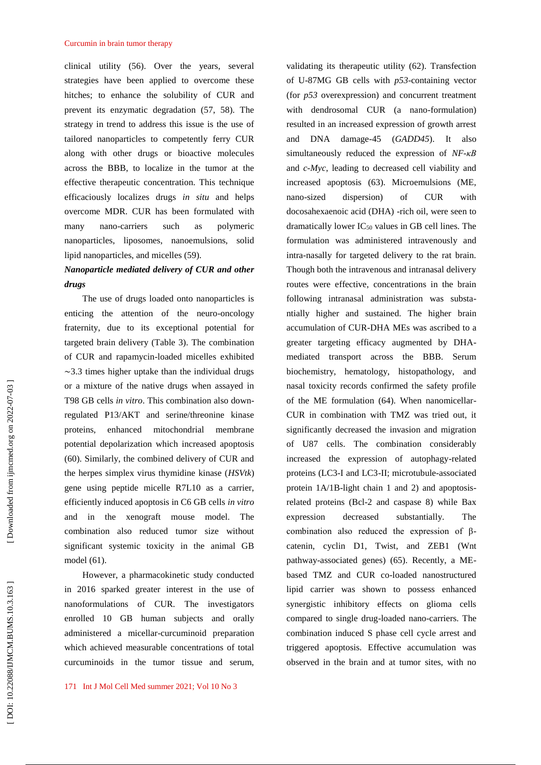#### Curcumin in brain tumor therapy

clinical utility (56). Over the years, several strategies have been applied to overcome these hitches; to enhance the solubility of CUR and prevent its enzymatic degradation (57, 58). The strategy in trend to address this issue is the use of tailored nanoparticles to competently ferry CUR along with other drugs or bioactive molecules across the BBB, to localize in the tumor at the effective therapeutic concentration. This technique efficaciously localizes drugs *in situ* and helps overcome MDR. CUR has been formulated with many nano-carriers such as polymeric nanoparticles, liposomes, nanoemulsions, solid lipid nanoparticles, and micelles (59).

# *Nanoparticle mediated delivery of CUR and other drugs*

The use of drugs loaded onto nanoparticles is enticing the attention of the neuro -oncology fraternity, due to its exceptional potential for targeted brain delivery (Table 3). The combination of CUR and rapamycin -loaded micelles exhibited ∼3.3 times higher uptake than the individual drugs or a mixture of the native drugs when assayed in T98 GB cells *in vitro*. This combination also down regulated P13/AKT and serine/threonine kinase proteins, enhanced mitochondrial membrane potential depolarization which increased apoptosis (60). Similarly, the combined delivery of CUR and the herpes simplex virus thymidine kinase (*HSVtk*) gene using peptide micelle R7L10 as a carrier, efficiently induced apoptosis in C6 GB cells *in vitro* and in the xenograft mouse model. The combination also reduced tumor size without significant systemic toxicity in the animal GB model (61).

However, a pharmacokinetic study conducted in 2016 sparked greater interest in the use of nanoformulations of CUR. The investigators enrolled 10 GB human subjects and orally administered a micellar -curcuminoid preparation which achieved measurable concentrations of total curcuminoids in the tumor tissue and serum,

validating its therapeutic utility (62). Transfection of U -87MG GB cells with *p53* -containing vector (for *p53* overexpression) and concurrent treatment with dendrosomal CUR (a nano-formulation) resulted in an increased expression of growth arrest and DNA damage -45 (*GADD45*). It also simultaneously reduced the expression of *NF -κB* and *c -Myc*, leading to decreased cell viability and increased apoptosis (63). Microemulsions (ME, nano dispersion) of CUR with docosahexaenoic acid (DHA) -rich oil, were seen to dramatically lower  $IC_{50}$  values in GB cell lines. The formulation was administered intravenously and intra -nasally for targeted delivery to the rat brain. Though both the intravenous and intranasal delivery routes were effective, concentrations in the brain following intranasal administration was substa ntially higher and sustained. The higher brain accumulation of CUR -DHA MEs was ascribed to a greater targeting efficacy augmented by DHA mediated transport across the BBB. Serum biochemistry, hematology, histopathology, and nasal toxicity records confirmed the safety profile of the ME formulation (64). When nanomicellar - CUR in combination with TMZ was tried out, it significantly decreased the invasion and migration of U87 cells. The combination considerably increased the expression of autophagy -related proteins (LC3 -I and LC3 -II; microtubule -associated protein 1A/1B-light chain 1 and 2) and apoptosisrelated proteins (Bcl -2 and caspase 8) while Bax expression decreased substantially. The combination also reduced the expression of  $β$ catenin, cyclin D1, Twist, and ZEB1 (Wnt pathway -associated genes) (65). Recently, a ME based TMZ and CUR co -loaded nanostructured lipid carrier was shown to possess enhanced synergistic inhibitory effects on glioma cells compared to single drug -loaded nano -carriers. The combination induced S phase cell cycle arrest and triggered apoptosis. Effective accumulation was observed in the brain and at tumor sites, with no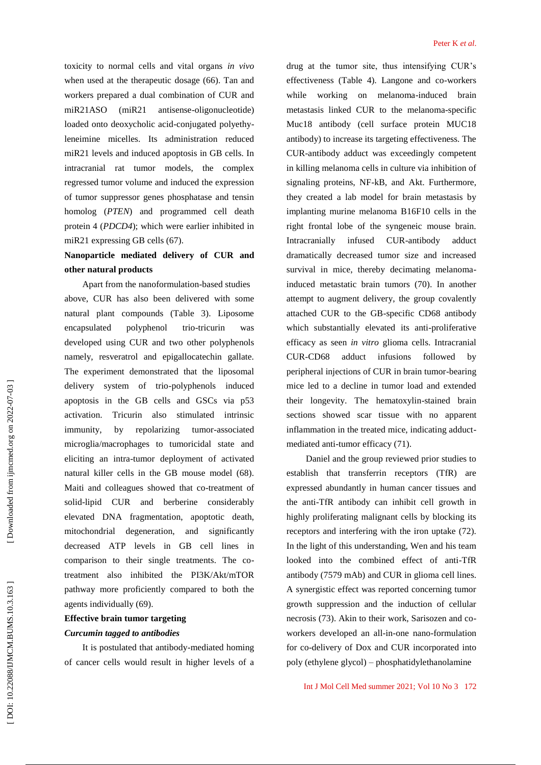toxicity to normal cells and vital organs *in vivo* when used at the therapeutic dosage (66). Tan and workers prepared a dual combination of CUR and miR21ASO  $(miR21)$ antisense-oligonucleotide) loaded onto deoxycholic acid -conjugated polyethy leneimine micelles. Its administration reduced miR21 levels and induced apoptosis in GB cells. In intracranial rat tumor models, the complex regressed tumor volume and induced the expression of tumor suppressor genes phosphatase and tensin homolog (*PTEN*) and programmed cell death protein 4 (*PDCD4*); which were earlier inhibited in miR21 expressing GB cells (67).

# **Nanoparticle mediated delivery of CUR and other natural products**

Apart from the nanoformulation -based studies above, CUR has also been delivered with some natural plant compounds (Table 3). Liposome encapsulated polyphenol trio-tricurin was developed using CUR and two other polyphenols namely, resveratrol and epigallocatechin gallate. The experiment demonstrated that the liposomal delivery system of trio -polyphenols induced apoptosis in the GB cells and GSCs via p53 activation. Tricurin also stimulated intrinsic immunity, by repolarizing tumor-associated microglia/macrophages to tumoricidal state and eliciting an intra -tumor deployment of activated natural killer cells in the GB mouse model (68). Maiti and colleagues showed that co -treatment of solid -lipid CUR and berberine considerably elevated DNA fragmentation, apoptotic death, mitochondrial degeneration, and significantly decreased ATP levels in GB cell lines in comparison to their single treatments. The co treatment also inhibited the PI3K/Akt/mTOR pathway more proficiently compared to both the agents individually (69).

# **Effective brain tumor targeting**  *Curcumin tagged to antibodies*

It is postulated that antibody -mediated homing of cancer cells would result in higher levels of a

drug at the tumor site, thus intensifying CUR's effectiveness (Table 4). Langone and co -workers while working on melanoma -induced brain metastasis linked CUR to the melanoma -specific Muc18 antibody (cell surface protein MUC18 antibody) to increase its targeting effectiveness. The CUR -antibody adduct was exceedingly competent in killing melanoma cells in culture via inhibition of signaling proteins, NF -kB, and Akt. Furthermore, they created a lab model for brain metastasis by implanting murine melanoma B16F10 cells in the right frontal lobe of the syngeneic mouse brain. Intracranially infused CUR -antibody adduct dramatically decreased tumor size and increased survival in mice, thereby decimating melanoma induced metastatic brain tumors (70). In another attempt to augment delivery, the group covalently attached CUR to the GB -specific CD68 antibody which substantially elevated its anti -proliferative efficacy as seen *in vitro* glioma cells. Intracranial CUR-CD68 adduct infusions followed peripheral injections of CUR in brain tumor -bearing mice led to a decline in tumor load and extended their longevity. The hematoxylin -stained brain sections showed scar tissue with no apparent inflammation in the treated mice, indicating adduct mediated anti -tumor efficacy (71).

Daniel and the group reviewed prior studies to establish that transferrin receptors (TfR) are expressed abundantly in human cancer tissues and the anti -TfR antibody can inhibit cell growth in highly proliferating malignant cells by blocking its receptors and interfering with the iron uptake (72). In the light of this understanding, Wen and his team looked into the combined effect of anti -TfR antibody (7579 mAb) and CUR in glioma cell lines. A synergistic effect was reported concerning tumor growth suppression and the induction of cellular necrosis (73). Akin to their work, Sarisozen and co workers developed an all -in -one nano -formulation for co -delivery of Dox and CUR incorporated into poly (ethylene glycol) – phosphatidylethanolamine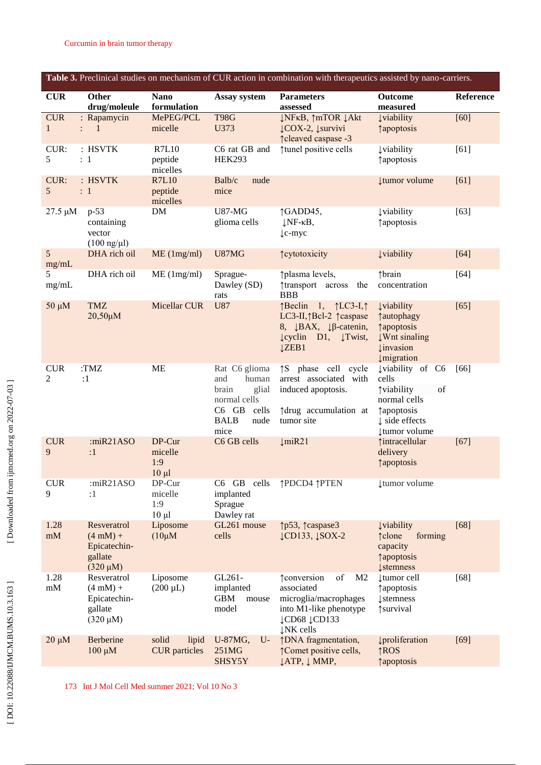| Table 3. Preclinical studies on mechanism of CUR action in combination with therapeutics assisted by nano-carriers. |                                                                               |                                        |                                                                                                               |                                                                                                                                                                                      |                                                                                                                                                             |           |  |
|---------------------------------------------------------------------------------------------------------------------|-------------------------------------------------------------------------------|----------------------------------------|---------------------------------------------------------------------------------------------------------------|--------------------------------------------------------------------------------------------------------------------------------------------------------------------------------------|-------------------------------------------------------------------------------------------------------------------------------------------------------------|-----------|--|
| <b>CUR</b>                                                                                                          | <b>Other</b><br>drug/moleule                                                  | <b>Nano</b><br>formulation             | Assay system                                                                                                  | <b>Parameters</b><br>assessed                                                                                                                                                        | Outcome<br>measured                                                                                                                                         | Reference |  |
| <b>CUR</b><br>$\mathbf{1}$                                                                                          | : Rapamycin<br>$\mathbf{1}$<br>$\mathbb{R}^{\mathbb{Z}}$                      | MePEG/PCL<br>micelle                   | <b>T98G</b><br>U373                                                                                           | <b>↓NFKB, ↑mTOR ↓Akt</b><br>↓COX-2, ↓survivi<br>↑ cleaved caspase -3                                                                                                                 | <b>Įviability</b><br><i><u><b>Tapoptosis</b></u></i>                                                                                                        | $[60]$    |  |
| CUR:<br>5                                                                                                           | : HSVTK<br>: 1                                                                | <b>R7L10</b><br>peptide<br>micelles    | C6 rat GB and<br><b>HEK293</b>                                                                                | ↑tunel positive cells                                                                                                                                                                | <b>Į</b> viability<br>↑ apoptosis                                                                                                                           | [61]      |  |
| CUR:<br>5                                                                                                           | : HSVTK<br>$\colon 1$                                                         | <b>R7L10</b><br>peptide<br>micelles    | Balb/c<br>nude<br>mice                                                                                        |                                                                                                                                                                                      | <b>tumor</b> volume                                                                                                                                         | [61]      |  |
| 27.5 µM                                                                                                             | $p-53$<br>containing<br>vector<br>$(100 \text{ ng/}\mu\text{l})$              | DM                                     | <b>U87-MG</b><br>glioma cells                                                                                 | ↑GADD45,<br>$\downarrow$ NF- $\kappa$ B,<br>$\downarrow$ c-myc                                                                                                                       | <b>Į</b> viability<br>↑ apoptosis                                                                                                                           | $[63]$    |  |
| 5<br>mg/mL                                                                                                          | DHA rich oil                                                                  | ME (1mg/ml)                            | U87MG                                                                                                         | <b>Teytotoxicity</b>                                                                                                                                                                 | <b>Įviability</b>                                                                                                                                           | $[64]$    |  |
| 5<br>mg/mL                                                                                                          | DHA rich oil                                                                  | $ME$ (1mg/ml)                          | Sprague-<br>Dawley (SD)<br>rats                                                                               | ↑ plasma levels,<br>transport across<br>the<br><b>BBB</b>                                                                                                                            | ↑brain<br>concentration                                                                                                                                     | $[64]$    |  |
| $50 \mu M$                                                                                                          | <b>TMZ</b><br>20,50µM                                                         | Micellar CUR                           | <b>U87</b>                                                                                                    | $\uparrow$ Beclin 1, $\uparrow$ LC3-I, $\uparrow$<br>LC3-II, TBcl-2 Teaspase<br>8, $\downarrow$ BAX, $\downarrow$ B-catenin,<br>$\downarrow$ cyclin D1, $\downarrow$ Twist,<br>ĮZEB1 | <b>Uviability</b><br>↑ autophagy<br><i><u><b>†apoptosis</b></u></i><br><b>Wnt sinaling</b><br><b><i><u>u</u></i></b> invasion<br><i>umigration</i>          | $[65]$    |  |
| <b>CUR</b><br>2                                                                                                     | :TMZ<br>:1                                                                    | <b>ME</b>                              | Rat C6 glioma<br>and<br>human<br>brain<br>glial<br>normal cells<br>C6 GB cells<br><b>BALB</b><br>nude<br>mice | <sup>1</sup> S phase cell cycle<br>arrest associated with<br>induced apoptosis.<br>↑ drug accumulation at<br>tumor site                                                              | Įviability of C6<br>cells<br>of<br><b>Tviability</b><br>normal cells<br><i><u><b>Tapoptosis</b></u></i><br>$\downarrow$ side effects<br><b>tumor</b> volume | [66]      |  |
| <b>CUR</b><br>9                                                                                                     | : $miR21ASO$<br>:1                                                            | DP-Cur<br>micelle<br>1:9<br>$10 \mu l$ | C6 GB cells                                                                                                   | $\downarrow$ miR21                                                                                                                                                                   | ↑intracellular<br>delivery<br><b>Tapoptosis</b>                                                                                                             | $[67]$    |  |
| <b>CUR</b><br>9                                                                                                     | : $miR21ASO$<br>:1                                                            | DP-Cur<br>micelle<br>1:9<br>$10 \mu l$ | C6 GB cells<br>implanted<br>Sprague<br>Dawley rat                                                             | ↑PDCD4 ↑PTEN                                                                                                                                                                         | tumor volume                                                                                                                                                |           |  |
| 1.28<br>$\ensuremath{\mathrm{mM}}$                                                                                  | Resveratrol<br>$(4 \text{ mM}) +$<br>Epicatechin-<br>gallate<br>$(320 \mu M)$ | Liposome<br>$(10\mu M)$                | GL261 mouse<br>cells                                                                                          | ↑p53, ↑caspase3<br>$\downarrow$ CD133, $\downarrow$ SOX-2                                                                                                                            | <b>Uviability</b><br>↑clone<br>forming<br>capacity<br><b>Tapoptosis</b><br><b>Į</b> stemness                                                                | $[68]$    |  |
| 1.28<br>mM                                                                                                          | Resveratrol<br>$(4 \text{ mM}) +$<br>Epicatechin-<br>gallate<br>$(320 \mu M)$ | Liposome<br>$(200 \mu L)$              | GL261-<br>implanted<br><b>GBM</b><br>mouse<br>model                                                           | of<br><b>tender</b> tender<br>M <sub>2</sub><br>associated<br>microglia/macrophages<br>into M1-like phenotype<br>↓CD68 ↓CD133<br>$\downarrow$ NK cells                               | tumor cell<br>↑ apoptosis<br><b><i><u><u>l</u>stemness</u></i></b><br>↑survival                                                                             | $[68]$    |  |
| $20 \mu M$                                                                                                          | Berberine<br>$100 \mu M$                                                      | solid<br>lipid<br><b>CUR</b> particles | U-87MG,<br>$U$ -<br>251MG<br>SHSY5Y                                                                           | ↑DNA fragmentation,<br>↑ Comet positive cells,<br>↓ATP, ↓ MMP,                                                                                                                       | proliferation<br>$\uparrow$ <sub>ROS</sub><br><i><u><b>†apoptosis</b></u></i>                                                                               | $[69]$    |  |

173 Int J Mol Cell Med summer 2021; Vol 10 No 3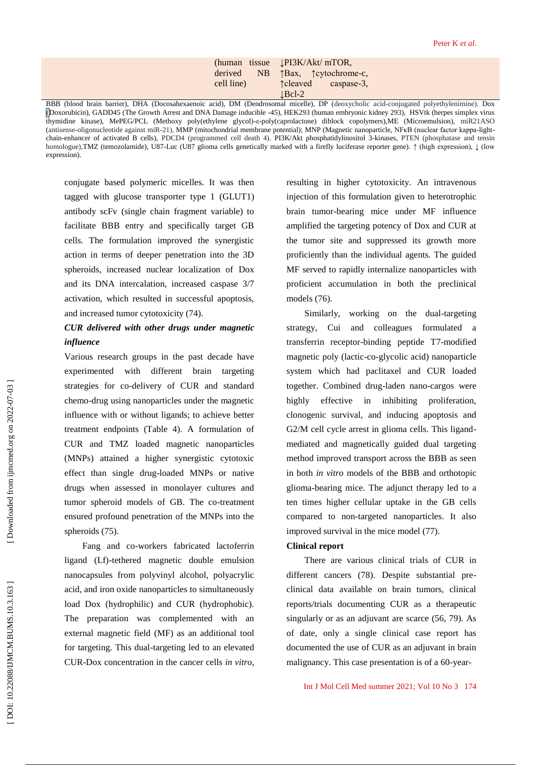|            |    | (human tissue <b>PI3K/Akt/</b> mTOR, |
|------------|----|--------------------------------------|
| derived    | NB | ↑Bax, ↑ cytochrome-c,                |
| cell line) |    | <b>t</b> cleaved<br>caspase-3,       |
|            |    | $\lfloor$ Bcl-2                      |

BBB (blood brain barrier), DHA (Docosahexaenoic acid), DM (Dendrosomal micelle), DP (deoxycholic acid -conjugated polyethylenimine). Dox (Doxorubicin), GADD45 (The Growth Arrest and DNA Damage inducible -45), HEK293 (human embryonic kidney 293), HSVtk (herpes simplex virus thymidine kinase), MePEG/PCL (Methoxy poly(ethylene glycol)-ε-poly(caprolactone) diblock copolymers),ME (Microemulsion), miR21ASO (antisense-oligonucleotide against miR-21), MMP (mitochondrial membrane potential); MNP (Magnetic nanoparticle, NFKB (nuclear factor kappa-lightchain -enhancer of activated B cells), PDCD4 (programmed cell death 4). PI3K/Akt phosphatidylinositol 3 -kinases, PTEN (phosphatase and tensin homologue),TMZ (temozolamide), U87 -Luc (U87 glioma cells genetically marked with a firefly luciferase reporter gene). ↑ (high expression), ↓ (low expression).

conjugate based polymeric micelles. It was then tagged with glucose transporter type 1 (GLUT1) antibody scFv (single chain fragment variable) to facilitate BBB entry and specifically target GB cells. The formulation improved the synergistic action in terms of deeper penetration into the 3D spheroids, increased nuclear localization of Dox and its DNA intercalation, increased caspase 3/7 activation, which resulted in successful apoptosis, and increased tumor cytotoxicity (74).

# *CUR delivered with other drugs under magnetic influence*

Various research groups in the past decade have experimented with different brain targeting strategies for co -delivery of CUR and standard chemo -drug using nanoparticles under the magnetic influence with or without ligands; to achieve better treatment endpoints (Table 4). A formulation of CUR and TMZ loaded magnetic nanoparticles (MNPs) attained a higher synergistic cytotoxic effect than single drug -loaded MNPs or native drugs when assessed in monolayer cultures and tumor spheroid models of GB. The co -treatment ensured profound penetration of the MNPs into the spheroids (75).

Fang and co -workers fabricated lactoferrin ligand (Lf) -tethered magnetic double emulsion nanocapsules from polyvinyl alcohol, polyacrylic acid, and iron oxide nanoparticles to simultaneously load Dox (hydrophilic) and CUR (hydrophobic). The preparation was complemented with an external magnetic field (MF) as an additional tool for targeting. This dual -targeting led to an elevated CUR -Dox concentration in the cancer cells *in vitro*, resulting in higher cytotoxicity. An intravenous injection of this formulation given to heterotrophic brain tumor -bearing mice under MF influence amplified the targeting potency of Dox and CUR at the tumor site and suppressed its growth more proficiently than the individual agents. The guided MF served to rapidly internalize nanoparticles with proficient accumulation in both the preclinical models (76).

Similarly, working on the dual -targeting strategy, Cui and colleagues formulated a transferrin receptor -binding peptide T7 -modified magnetic poly (lactic -co -glycolic acid) nanoparticle system which had paclitaxel and CUR loaded together. Combined drug -laden nano -cargos were highly effective in inhibiting proliferation, clonogenic survival, and inducing apoptosis and G2/M cell cycle arrest in glioma cells. This ligandmediated and magnetically guided dual targeting method improved transport across the BBB as seen in both *in vitro* models of the BBB and orthotopic glioma -bearing mice. The adjunct therapy led to a ten times higher cellular uptake in the GB cells compared to non -targeted nanoparticles. It also improved survival in the mice model (77).

#### **Clinical report**

There are various clinical trials of CUR in different cancers (78). Despite substantial pre clinical data available on brain tumors, clinical reports/trials documenting CUR as a therapeutic singularly or as an adjuvant are scarce (56, 79). As of date, only a single clinical case report has documented the use of CUR as an adjuvant in brain malignancy. This case presentation is of a 60 -year -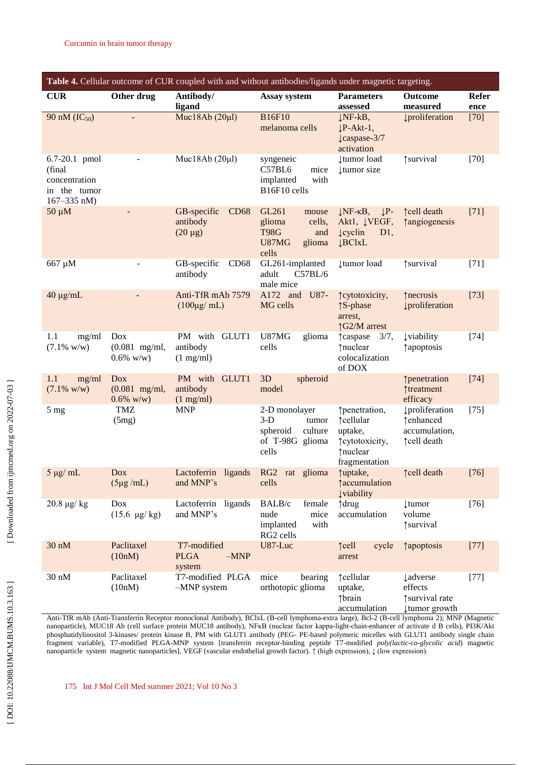| Table 4. Cellular outcome of CUR coupled with and without antibodies/ligands under magnetic targeting. |                                               |                                                        |                                                                                      |                                                                                                                 |                                                                    |                      |
|--------------------------------------------------------------------------------------------------------|-----------------------------------------------|--------------------------------------------------------|--------------------------------------------------------------------------------------|-----------------------------------------------------------------------------------------------------------------|--------------------------------------------------------------------|----------------------|
| <b>CUR</b>                                                                                             | Other drug                                    | Antibody/<br>ligand                                    | Assay system                                                                         | <b>Parameters</b><br>assessed                                                                                   | Outcome<br>measured                                                | <b>Refer</b><br>ence |
| 90 nM (IC <sub>50</sub> )                                                                              |                                               | Muc18Ab $(20 \mu l)$                                   | <b>B16F10</b><br>melanoma cells                                                      | $\downarrow$ NF-kB,<br>$\downarrow$ P-Akt-1,<br>$\downarrow$ caspase-3/7<br>activation                          | proliferation                                                      | $[70]$               |
| 6.7-20.1 pmol<br>(final)<br>concentration<br>in the tumor<br>$167 - 335$ nM)                           |                                               | Muc18Ab $(20\mu l)$                                    | syngeneic<br>C57BL6<br>mice<br>with<br>implanted<br>B16F10 cells                     | <b>tumor</b> load<br><b>tumor</b> size                                                                          | ↑survival                                                          | $[70]$               |
| $50 \mu M$                                                                                             |                                               | GB-specific<br><b>CD68</b><br>antibody<br>$(20 \mu g)$ | GL261<br>mouse<br>glioma<br>cells,<br><b>T98G</b><br>and<br>U87MG<br>glioma<br>cells | $\downarrow P$ -<br>$\downarrow$ NF- $\kappa$ B,<br>Aktl, ĮVEGF,<br>$\downarrow$ cyclin<br>D1,<br><b>JBClxL</b> | ↑cell death<br><b>tangiogenesis</b>                                | $[71]$               |
| 667 µM                                                                                                 |                                               | GB-specific<br>CD68<br>antibody                        | GL261-implanted<br>C57BL/6<br>adult<br>male mice                                     | tumor load                                                                                                      | ↑survival                                                          | $[71]$               |
| $40 \mu g/mL$                                                                                          |                                               | Anti-TfR mAb 7579<br>$(100\mu\text{g/mL})$             | A172 and<br>U87-<br>MG cells                                                         | <i><u><u>reytotoxicity</u></u></i> ,<br>↑S-phase<br>arrest,<br>↑G2/M arrest                                     | ↑ necrosis<br>proliferation                                        | $[73]$               |
| 1.1<br>mg/ml<br>$(7.1\%$ w/w)                                                                          | Dox<br>$(0.081$ mg/ml,<br>$0.6\%$ w/w)        | PM with GLUT1<br>antibody<br>$(1 \text{ mg/ml})$       | U87MG<br>glioma<br>cells                                                             | 3/7,<br><b>t</b> caspase<br>↑nuclear<br>colocalization<br>of DOX                                                | <b>Uviability</b><br>↑ apoptosis                                   | $[74]$               |
| 1.1<br>mg/ml<br>$(7.1\%$ w/w)                                                                          | <b>Dox</b><br>$(0.081$ mg/ml,<br>$0.6\%$ w/w) | PM with GLUT1<br>antibody<br>$(1 \text{ mg/ml})$       | spheroid<br>3D<br>model                                                              |                                                                                                                 | ↑penetration<br>↑treatment<br>efficacy                             | $[74]$               |
| 5 <sub>mg</sub>                                                                                        | TMZ<br>(5mg)                                  | <b>MNP</b>                                             | 2-D monolayer<br>$3-D$<br>tumor<br>spheroid<br>culture<br>of T-98G glioma<br>cells   | ↑penetration,<br>↑cellular<br>uptake,<br>↑ cytotoxicity,<br>↑nuclear<br>fragmentation                           | <b>Įproliferation</b><br>↑enhanced<br>accumulation,<br>↑cell death | $[75]$               |
| $5 \mu g$ mL                                                                                           | <b>Dox</b><br>$(5\mu g/mL)$                   | Lactoferrin<br>ligands<br>and MNP's                    | RG2 rat glioma<br>cells                                                              | ↑uptake,<br><b>taccumulation</b><br><b>Uviability</b>                                                           | ↑cell death                                                        | $[76]$               |
| $20.8 \text{ µg/kg}$                                                                                   | Dox<br>$(15.6 \text{ \mu g/kg})$              | Lactoferrin ligands<br>and MNP's                       | female<br>BALB/c<br>nude<br>mice<br>implanted<br>with<br>RG2 cells                   | ↑drug<br>accumulation                                                                                           | <b>tumor</b><br>volume<br>↑survival                                | $[76]$               |
| 30 nM                                                                                                  | Paclitaxel<br>(10nM)                          | T7-modified<br><b>PLGA</b><br>$-MNP$<br>system         | U87-Luc                                                                              | cycle<br>$\uparrow$ cell<br>arrest                                                                              | <i><u><b>†apoptosis</b></u></i>                                    | $[77]$               |
| $30 \text{ nM}$                                                                                        | Paclitaxel<br>(10nM)                          | T7-modified PLGA<br>$-MNP$ system                      | mice<br>bearing<br>orthotopic glioma                                                 | ↑cellular<br>uptake,<br>↑brain<br>accumulation                                                                  | <b>Ladverse</b><br>effects<br>↑survival rate<br>tumor growth       | $[77]$               |

Anti -TfR mAb (Anti -Transferrin Receptor monoclonal Antibody), BClxL ( B -cell lymphoma -extra large), Bcl -2 ( B -cell lymphoma 2) ; MNP (Magnetic nanoparticle), MUC18 Ab (cell surface protein MUC18 antibody), NFKB (nuclear factor kappa-light-chain-enhancer of activate d B cells), PI3K/Akt phosphatidylinositol 3-kinases/ protein kinase B, PM with GLUT1 antibody (PEG- PE-based polymeric micelles with GLUT1 antibody single chain fragment variable), T7-modified PLGA-MNP system [transferrin receptor-binding peptide T7-modified *poly(lactic-co-glycolic acid)* magnetic nanoparticle system magnetic nanoparticles], VEGF (vascular endothelial growth factor). ↑ (high expression), ↓ (low expression).

175 Int J Mol Cell Med summer 2021; Vol 10 No 3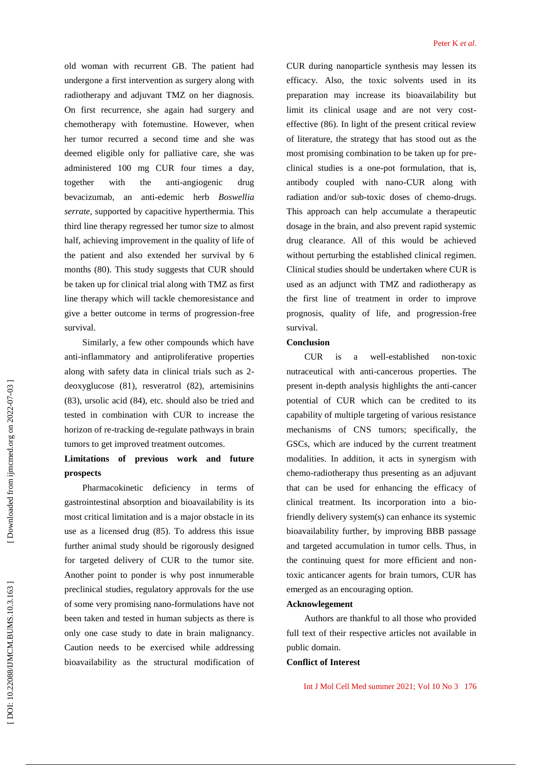old woman with recurrent GB. The patient had undergone a first intervention as surgery along with radiotherapy and adjuvant TMZ on her diagnosis. On first recurrence, she again had surgery and chemotherapy with fotemustine. However, when her tumor recurred a second time and she was deemed eligible only for palliative care, she was administered 100 mg CUR four times a day, together with the -angiogenic drug bevacizumab, an anti -edemic herb *Boswellia serrate*, supported by capacitive hyperthermia. This third line therapy regressed her tumor size to almost half, achieving improvement in the quality of life of the patient and also extended her survival by 6 months (80). This study suggests that CUR should be taken up for clinical trial along with TMZ as first line therapy which will tackle chemoresistance and give a better outcome in terms of progression -free survival.

Similarly, a few other compounds which have anti -inflammatory and antiproliferative properties along with safety data in clinical trials such as 2 deoxyglucose (81), resveratrol (82), artemisinins (83), ursolic acid (84), etc. should also be tried and tested in combination with CUR to increase the horizon of re -tracking de -regulate pathways in brain tumors to get improved treatment outcomes.

# **Limitations of previous work and future prospects**

Pharmacokinetic deficiency in terms of gastrointestinal absorption and bioavailability is its most critical limitation and is a major obstacle in its use as a licensed drug (85). To address this issue further animal study should be rigorously designed for targeted delivery of CUR to the tumor site. Another point to ponder is why post innumerable preclinical studies, regulatory approvals for the use of some very promising nano -formulations have not been taken and tested in human subjects as there is only one case study to date in brain malignancy. Caution needs to be exercised while addressing bioavailability as the structural modification of

CUR during nanoparticle synthesis may lessen its efficacy. Also, the toxic solvents used in its preparation may increase its bioavailability but limit its clinical usage and are not very cost effective (86). In light of the present critical review of literature, the strategy that has stood out as the most promising combination to be taken up for pre clinical studies is a one -pot formulation, that is, antibody coupled with nano -CUR along with radiation and/or sub-toxic doses of chemo-drugs. This approach can help accumulate a therapeutic dosage in the brain, and also prevent rapid systemic drug clearance. All of this would be achieved without perturbing the established clinical regimen. Clinical studies should be undertaken where CUR is used as an adjunct with TMZ and radiotherapy as the first line of treatment in order to improve prognosis, quality of life, and progression -free survival.

#### **Conclusion**

 $CUR$  is a well-established non-toxic nutraceutical with anti -cancerous properties. The present in -depth analysis highlights the anti -cancer potential of CUR which can be credited to its capability of multiple targeting of various resistance mechanisms of CNS tumors; specifically, the GSCs, which are induced by the current treatment modalities. In addition, it acts in synergism with chemo -radiotherapy thus presenting as an adjuvant that can be used for enhancing the efficacy of clinical treatment. Its incorporation into a bio friendly delivery system(s) can enhance its systemic bioavailability further, by improving BBB passage and targeted accumulation in tumor cells. Thus, in the continuing quest for more efficient and non toxic anticancer agents for brain tumors, CUR has emerged as an encouraging option.

#### **Acknowlegement**

Authors are thankful to all those who provided full text of their respective articles not available in public domain.

#### **Conflict of Interest**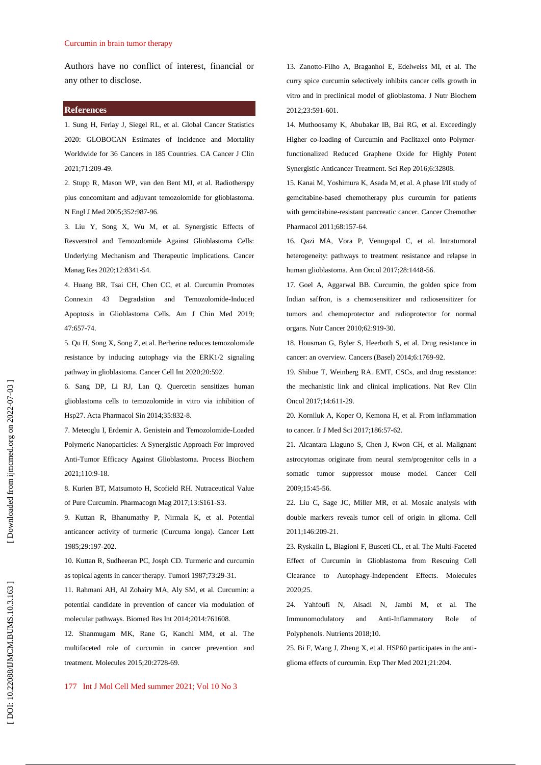Authors have no conflict of interest, financial or any other to disclose.

#### **References**

1. Sung H, Ferlay J, Siegel RL, et al. Global Cancer Statistics 2020: GLOBOCAN Estimates of Incidence and Mortality Worldwide for 36 Cancers in 185 Countries. CA Cancer J Clin 2021;71:209 -49.

2. Stupp R, Mason WP, van den Bent MJ, et al. Radiotherapy plus concomitant and adjuvant temozolomide for glioblastoma. N Engl J Med 2005;352:987 -96.

3. Liu Y, Song X, Wu M, et al. Synergistic Effects of Resveratrol and Temozolomide Against Glioblastoma Cells: Underlying Mechanism and Therapeutic Implications. Cancer Manag Res 2020;12:8341 -54.

4. Huang BR, Tsai CH, Chen CC, et al. Curcumin Promotes Connexin 43 Degradation and Temozolomide -Induced Apoptosis in Glioblastoma Cells. Am J Chin Med 2019; 47:657 -74.

5. Qu H, Song X, Song Z, et al. Berberine reduces temozolomide resistance by inducing autophagy via the ERK1/2 signaling pathway in glioblastoma. Cancer Cell Int 2020;20:592.

6. Sang DP, Li RJ, Lan Q. Quercetin sensitizes human glioblastoma cells to temozolomide in vitro via inhibition of Hsp27. Acta Pharmacol Sin 2014;35:832 -8.

7. Meteoglu I, Erdemir A. Genistein and Temozolomide -Loaded Polymeric Nanoparticles: A Synergistic Approach For Improved Anti -Tumor Efficacy Against Glioblastoma. Process Biochem 2021;110:9 -18.

8. Kurien BT, Matsumoto H, Scofield RH. Nutraceutical Value of Pure Curcumin. Pharmacogn Mag 2017;13:S161 -S3.

9. Kuttan R, Bhanumathy P, Nirmala K, et al. Potential anticancer activity of turmeric (Curcuma longa). Cancer Lett 1985;29:197 -202.

10. Kuttan R, Sudheeran PC, Josph CD. Turmeric and curcumin as topical agents in cancer therapy. Tumori 1987;73:29 -31.

11. Rahmani AH, Al Zohairy MA, Aly SM, et al. Curcumin: a potential candidate in prevention of cancer via modulation of molecular pathways. Biomed Res Int 2014;2014:761608.

12. Shanmugam MK, Rane G, Kanchi MM, et al. The multifaceted role of curcumin in cancer prevention and treatment. Molecules 2015;20:2728 -69.

13. Zanotto -Filho A, Braganhol E, Edelweiss MI, et al. The curry spice curcumin selectively inhibits cancer cells growth in vitro and in preclinical model of glioblastoma. J Nutr Biochem 2012;23:591 -601.

14. Muthoosamy K, Abubakar IB, Bai RG, et al. Exceedingly Higher co -loading of Curcumin and Paclitaxel onto Polymer functionalized Reduced Graphene Oxide for Highly Potent Synergistic Anticancer Treatment. Sci Rep 2016;6:32808.

15. Kanai M, Yoshimura K, Asada M, et al. A phase I/II study of gemcitabine -based chemotherapy plus curcumin for patients with gemcitabine -resistant pancreatic cancer. Cancer Chemother Pharmacol 2011;68:157 -64.

16. Qazi MA, Vora P, Venugopal C, et al. Intratumoral heterogeneity: pathways to treatment resistance and relapse in human glioblastoma. Ann Oncol 2017;28:1448 -56.

17. Goel A, Aggarwal BB. Curcumin, the golden spice from Indian saffron, is a chemosensitizer and radiosensitizer for tumors and chemoprotector and radioprotector for normal organs. Nutr Cancer 2010;62:919 -30.

18. Housman G, Byler S, Heerboth S, et al. Drug resistance in cancer: an overview. Cancers (Basel) 2014;6:1769 -92.

19. Shibue T, Weinberg RA. EMT, CSCs, and drug resistance: the mechanistic link and clinical implications. Nat Rev Clin Oncol 2017;14:611 -29.

20. Korniluk A, Koper O, Kemona H, et al. From inflammation to cancer. Ir J Med Sci 2017;186:57 -62.

21. Alcantara Llaguno S, Chen J, Kwon CH, et al. Malignant astrocytomas originate from neural stem/progenitor cells in a somatic tumor suppressor mouse model. Cancer Cell 2009;15:45 -56.

22. Liu C, Sage JC, Miller MR, et al. Mosaic analysis with double markers reveals tumor cell of origin in glioma. Cell 2011;146:209 -21.

23. Ryskalin L, Biagioni F, Busceti CL, et al. The Multi -Faceted Effect of Curcumin in Glioblastoma from Rescuing Cell Clearance to Autophagy -Independent Effects. Molecules 2020;25.

24. Yahfoufi N, Alsadi N, Jambi M, et al. The Immunomodulatory and Anti-Inflammatory Role of Polyphenols. Nutrients 2018;10.

25. Bi F, Wang J, Zheng X, et al. HSP60 participates in the anti glioma effects of curcumin. Exp Ther Med 2021;21:204.

177 Int J Mol Cell Med summer 2021; Vol 10 No 3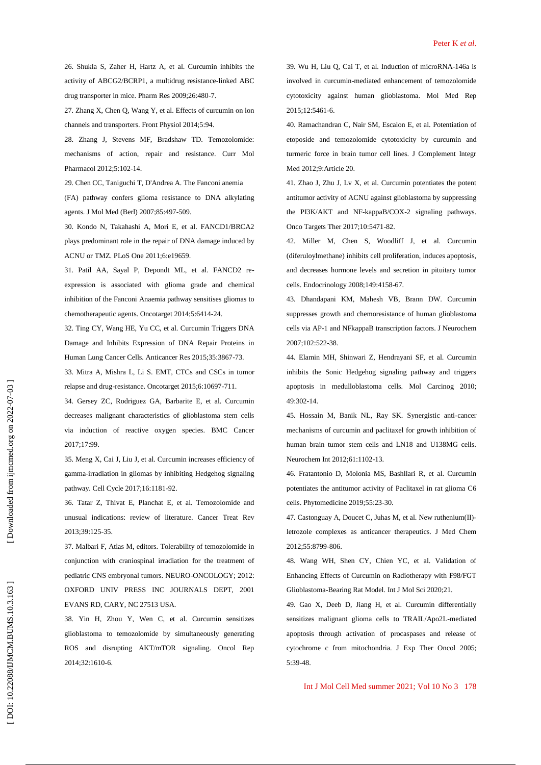26. Shukla S, Zaher H, Hartz A, et al. Curcumin inhibits the activity of ABCG2/BCRP1, a multidrug resistance -linked ABC drug transporter in mice. Pharm Res 2009;26:480 -7.

27. Zhang X, Chen Q, Wang Y, et al. Effects of curcumin on ion channels and transporters. Front Physiol 2014;5:94.

28. Zhang J, Stevens MF, Bradshaw TD. Temozolomide: mechanisms of action, repair and resistance. Curr Mol Pharmacol 2012;5:102 -14.

29. Chen CC, Taniguchi T, D'Andrea A. The Fanconi anemia

(FA) pathway confers glioma resistance to DNA alkylating agents. J Mol Med (Berl) 2007;85:497 -509.

30. Kondo N, Takahashi A, Mori E, et al. FANCD1/BRCA2 plays predominant role in the repair of DNA damage induced by ACNU or TMZ. PLoS One 2011;6:e19659.

31. Patil AA, Sayal P, Depondt ML, et al. FANCD2 re expression is associated with glioma grade and chemical inhibition of the Fanconi Anaemia pathway sensitises gliomas to chemotherapeutic agents. Oncotarget 2014;5:6414 -24.

32. Ting CY, Wang HE, Yu CC, et al. Curcumin Triggers DNA Damage and Inhibits Expression of DNA Repair Proteins in Human Lung Cancer Cells. Anticancer Res 2015;35:3867 -73.

33. Mitra A, Mishra L, Li S. EMT, CTCs and CSCs in tumor relapse and drug -resistance. Oncotarget 2015;6:10697 -711.

34. Gersey ZC, Rodriguez GA, Barbarite E, et al. Curcumin decreases malignant characteristics of glioblastoma stem cells via induction of reactive oxygen species. BMC Cancer 2017;17:99.

35. Meng X, Cai J, Liu J, et al. Curcumin increases efficiency of gamma -irradiation in gliomas by inhibiting Hedgehog signaling pathway. Cell Cycle 2017;16:1181 -92.

36. Tatar Z, Thivat E, Planchat E, et al. Temozolomide and unusual indications: review of literature. Cancer Treat Rev 2013;39:125 -35.

37. Malbari F, Atlas M, editors. Tolerability of temozolomide in conjunction with craniospinal irradiation for the treatment of pediatric CNS embryonal tumors. NEURO -ONCOLOGY; 2012: OXFORD UNIV PRESS INC JOURNALS DEPT, 2001 EVANS RD, CARY, NC 27513 USA.

38. Yin H, Zhou Y, Wen C, et al. Curcumin sensitizes glioblastoma to temozolomide by simultaneously generating ROS and disrupting AKT/mTOR signaling. Oncol Rep 2014;32:1610 -6.

39. Wu H, Liu Q, Cai T, et al. Induction of microRNA -146a is involved in curcumin -mediated enhancement of temozolomide cytotoxicity against human glioblastoma. Mol Med Rep 2015;12:5461 -6.

40. Ramachandran C, Nair SM, Escalon E, et al. Potentiation of etoposide and temozolomide cytotoxicity by curcumin and turmeric force in brain tumor cell lines. J Complement Integr Med 2012;9:Article 20.

41. Zhao J, Zhu J, Lv X, et al. Curcumin potentiates the potent antitumor activity of ACNU against glioblastoma by suppressing the PI3K/AKT and NF -kappaB/COX -2 signaling pathways. Onco Targets Ther 2017;10:5471 -82.

42. Miller M, Chen S, Woodliff J, et al. Curcumin (diferuloylmethane) inhibits cell proliferation, induces apoptosis, and decreases hormone levels and secretion in pituitary tumor cells. Endocrinology 2008;149:4158 -67.

43. Dhandapani KM, Mahesh VB, Brann DW. Curcumin suppresses growth and chemoresistance of human glioblastoma cells via AP -1 and NFkappaB transcription factors. J Neurochem 2007;102:522 -38.

44. Elamin MH, Shinwari Z, Hendrayani SF, et al. Curcumin inhibits the Sonic Hedgehog signaling pathway and triggers apoptosis in medulloblastoma cells. Mol Carcinog 2010; 49:302 -14.

45. Hossain M, Banik NL, Ray SK. Synergistic anti -cancer mechanisms of curcumin and paclitaxel for growth inhibition of human brain tumor stem cells and LN18 and U138MG cells. Neurochem Int 2012;61:1102 -13.

46. Fratantonio D, Molonia MS, Bashllari R, et al. Curcumin potentiates the antitumor activity of Paclitaxel in rat glioma C6 cells. Phytomedicine 2019;55:23 -30.

47. Castonguay A, Doucet C, Juhas M, et al. New ruthenium(II) letrozole complexes as anticancer therapeutics. J Med Chem 2012;55:8799 -806.

48. Wang WH, Shen CY, Chien YC, et al. Validation of Enhancing Effects of Curcumin on Radiotherapy with F98/FGT Glioblastoma -Bearing Rat Model. Int J Mol Sci 2020;21.

49. Gao X, Deeb D, Jiang H, et al. Curcumin differentially sensitizes malignant glioma cells to TRAIL/Apo2L -mediated apoptosis through activation of procaspases and release of cytochrome c from mitochondria. J Exp Ther Oncol 2005; 5:39 -48.

Int J Mol Cell Med summer 2021; Vol 10 No 3 178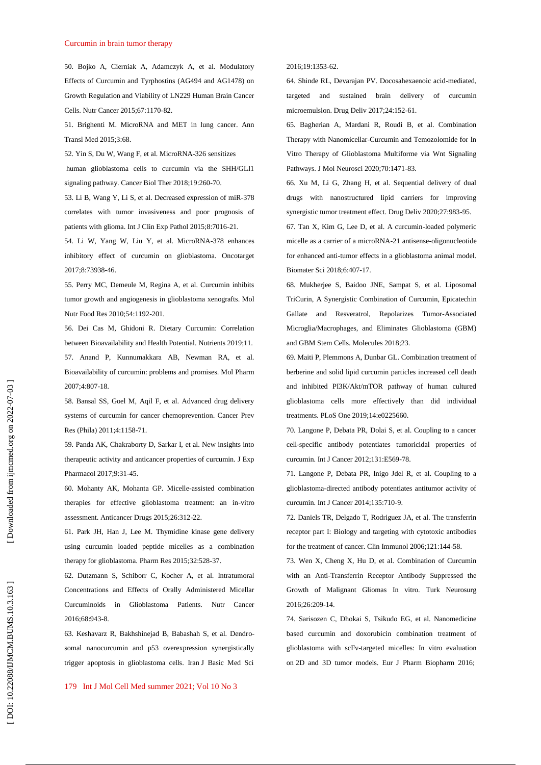#### Curcumin in brain tumor therapy

50. Bojko A, Cierniak A, Adamczyk A, et al. Modulatory Effects of Curcumin and Tyrphostins (AG494 and AG1478) on Growth Regulation and Viability of LN229 Human Brain Cancer Cells. Nutr Cancer 2015;67:1170 -82.

51. Brighenti M. MicroRNA and MET in lung cancer. Ann Transl Med 2015;3:68.

52. Yin S, Du W, Wang F, et al. MicroRNA -326 sensitizes

human glioblastoma cells to curcumin via the SHH/GLI1 signaling pathway. Cancer Biol Ther 2018;19:260 -70.

53. Li B, Wang Y, Li S, et al. Decreased expression of miR -378 correlates with tumor invasiveness and poor prognosis of patients with glioma. Int J Clin Exp Pathol 2015;8:7016 -21.

54. Li W, Yang W, Liu Y, et al. MicroRNA -378 enhances inhibitory effect of curcumin on glioblastoma. Oncotarget 2017;8:73938 -46.

55. Perry MC, Demeule M, Regina A, et al. Curcumin inhibits tumor growth and angiogenesis in glioblastoma xenografts. Mol Nutr Food Res 2010;54:1192 -201.

56. Dei Cas M, Ghidoni R. Dietary Curcumin: Correlation between Bioavailability and Health Potential. Nutrients 2019;11. 57. Anand P, Kunnumakkara AB, Newman RA, et al. Bioavailability of curcumin: problems and promises. Mol Pharm 2007;4:807 -18.

58. Bansal SS, Goel M, Aqil F, et al. Advanced drug delivery systems of curcumin for cancer chemoprevention. Cancer Prev Res (Phila) 2011;4:1158 -71.

59. Panda AK, Chakraborty D, Sarkar I, et al. New insights into therapeutic activity and anticancer properties of curcumin. J Exp Pharmacol 2017;9:31 -45.

60. Mohanty AK, Mohanta GP. Micelle -assisted combination therapies for effective glioblastoma treatment: an in -vitro assessment. Anticancer Drugs 2015;26:312 -22.

61. Park JH, Han J, Lee M. Thymidine kinase gene delivery using curcumin loaded peptide micelles as a combination therapy for glioblastoma. Pharm Res 2015;32:528 -37.

62. Dutzmann S, Schiborr C, Kocher A, et al. Intratumoral Concentrations and Effects of Orally Administered Micellar Curcuminoids in Glioblastoma Patients. Nutr Cancer 2016;68:943 -8.

63. Keshavarz R, Bakhshinejad B, Babashah S, et al. Dendr o somal nanocurcumin and p53 overexpression synergistically trigger apoptosis in glioblastoma cells. Iran J Basic Med Sci

179 Int J Mol Cell Med summer 2021; Vol 10 No 3

#### 2016;19:1353 -62.

64. Shinde RL, Devarajan PV. Docosahexaenoic acid -mediated, targeted and sustained brain delivery of curcumin microemulsion. Drug Deliv 2017;24:152 -61.

65. Bagherian A, Mardani R, Roudi B, et al. Combination Therapy with Nanomicellar -Curcumin and Temozolomide for In Vitro Therapy of Glioblastoma Multiforme via Wnt Signaling Pathways. J Mol Neurosci 2020;70:1471 -83.

66. Xu M, Li G, Zhang H, et al. Sequential delivery of dual drugs with nanostructured lipid carriers for improving synergistic tumor treatment effect. Drug Deliv 2020;27:983 -95.

67. Tan X, Kim G, Lee D, et al. A curcumin -loaded polymeric micelle as a carrier of a microRNA -21 antisense -oligonucleotide for enhanced anti -tumor effects in a glioblastoma animal model. Biomater Sci 2018;6:407 -17.

68. Mukherjee S, Baidoo JNE, Sampat S, et al. Liposomal TriCurin, A Synergistic Combination of Curcumin, Epicatechin Gallate and Resveratrol, Repolarizes Tumor -Associated Microglia/Macrophages, and Eliminates Glioblastoma (GBM) and GBM Stem Cells. Molecules 2018;23.

69. Maiti P, Plemmons A, Dunbar GL. Combination treatment of berberine and solid lipid curcumin particles increased cell death and inhibited PI3K/Akt/mTOR pathway of human cultured glioblastoma cells more effectively than did individual treatments. PLoS One 2019;14:e0225660.

70. Langone P, Debata PR, Dolai S, et al. Coupling to a cancer cell -specific antibody potentiates tumoricidal properties of curcumin. Int J Cancer 2012;131:E569 -78.

71. Langone P, Debata PR, Inigo Jdel R, et al. Coupling to a glioblastoma -directed antibody potentiates antitumor activity of curcumin. Int J Cancer 2014;135:710 -9.

72. Daniels TR, Delgado T, Rodriguez JA, et al. The transferrin receptor part I: Biology and targeting with cytotoxic antibodies for the treatment of cancer. Clin Immunol 2006;121:144 -58.

73. Wen X, Cheng X, Hu D, et al. Combination of Curcumin with an Anti -Transferrin Receptor Antibody Suppressed the Growth of Malignant Gliomas In vitro. Turk Neurosurg 2016;26:209 -14.

74. Sarisozen C, Dhokai S, Tsikudo EG, et al. Nanomedicine based curcumin and doxorubicin combination treatment of glioblastoma with scFv -targeted micelles: In vitro evaluation on 2D and 3D tumor models. Eur J Pharm Biopharm 2016;